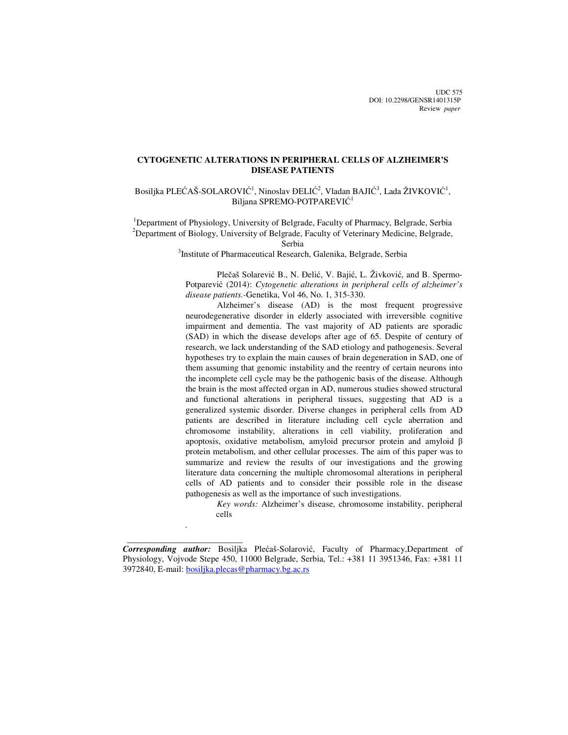UDC 575 DOI: 10.2298/GENSR1401315P Review *paper*

# **CYTOGENETIC ALTERATIONS IN PERIPHERAL CELLS OF ALZHEIMER'S DISEASE PATIENTS**

Bosiljka PLEĆAŠ-SOLAROVIĆ<sup>1</sup>, Ninoslav ĐELIĆ<sup>2</sup>, Vladan BAJIĆ<sup>3</sup>, Lada ŽIVKOVIĆ<sup>1</sup>, Biljana SPREMO-POTPAREVIĆ 1

<sup>1</sup>Department of Physiology, University of Belgrade, Faculty of Pharmacy, Belgrade, Serbia <sup>2</sup>Department of Biology, University of Belgrade, Faculty of Veterinary Medicine, Belgrade,

Serbia

<sup>3</sup>Institute of Pharmaceutical Research, Galenika, Belgrade, Serbia

Plečaš Solarević B., N. Đelić, V. Bajić, L. Živković, and B. Spermo-Potparević (2014): *Cytogenetic alterations in peripheral cells of alzheimer's disease patients.-*Genetika, Vol 46, No. 1, 315-330.

Alzheimer's disease (AD) is the most frequent progressive neurodegenerative disorder in elderly associated with irreversible cognitive impairment and dementia. The vast majority of AD patients are sporadic (SAD) in which the disease develops after age of 65. Despite of century of research, we lack understanding of the SAD etiology and pathogenesis. Several hypotheses try to explain the main causes of brain degeneration in SAD, one of them assuming that genomic instability and the reentry of certain neurons into the incomplete cell cycle may be the pathogenic basis of the disease. Although the brain is the most affected organ in AD, numerous studies showed structural and functional alterations in peripheral tissues, suggesting that AD is a generalized systemic disorder. Diverse changes in peripheral cells from AD patients are described in literature including cell cycle aberration and chromosome instability, alterations in cell viability, proliferation and apoptosis, oxidative metabolism, amyloid precursor protein and amyloid β protein metabolism, and other cellular processes. The aim of this paper was to summarize and review the results of our investigations and the growing literature data concerning the multiple chromosomal alterations in peripheral cells of AD patients and to consider their possible role in the disease pathogenesis as well as the importance of such investigations.

*Key words:* Alzheimer's disease, chromosome instability, peripheral cells

 $\frac{1}{\sqrt{2\pi}}\left[\frac{1}{2(1-2\pi)^2}\left(1-\frac{1}{2(1-2\pi)^2}\left(1-\frac{1}{2(1-2\pi)^2}\right)\right)\right],$ 

.

*Corresponding author:* Bosiljka Plećaš-Solarović, Faculty of Pharmacy,Department of Physiology, Vojvode Stepe 450, 11000 Belgrade, Serbia, Tel.: +381 11 3951346, Fax: +381 11 3972840, E-mail: bosiljka.plecas@pharmacy.bg.ac.rs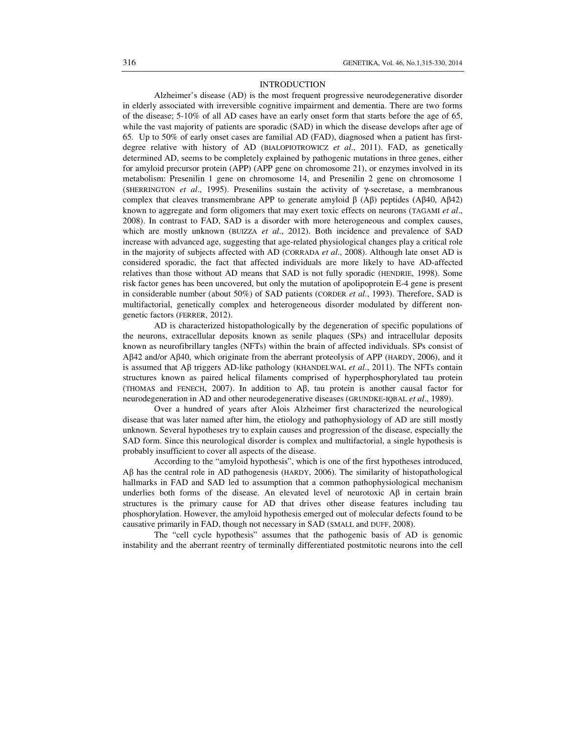### INTRODUCTION

Alzheimer's disease (AD) is the most frequent progressive neurodegenerative disorder in elderly associated with irreversible cognitive impairment and dementia. There are two forms of the disease; 5-10% of all AD cases have an early onset form that starts before the age of 65, while the vast majority of patients are sporadic (SAD) in which the disease develops after age of 65. Up to 50% of early onset cases are familial AD (FAD), diagnosed when a patient has firstdegree relative with history of AD (BIALOPIOTROWICZ *et al*., 2011). FAD, as genetically determined AD, seems to be completely explained by pathogenic mutations in three genes, either for amyloid precursor protein (APP) (APP gene on chromosome 21), or enzymes involved in its metabolism: Presenilin 1 gene on chromosome 14, and Presenilin 2 gene on chromosome 1 (SHERRINGTON *et al*., 1995). Presenilins sustain the activity of γ-secretase, a membranous complex that cleaves transmembrane APP to generate amyloid  $β$  (A $β$ ) peptides (A $β$ 40, A $β$ 42) known to aggregate and form oligomers that may exert toxic effects on neurons (TAGAMI *et al*., 2008). In contrast to FAD, SAD is a disorder with more heterogeneous and complex causes, which are mostly unknown (BUIZZA *et al*., 2012). Both incidence and prevalence of SAD increase with advanced age, suggesting that age-related physiological changes play a critical role in the majority of subjects affected with AD (CORRADA *et al*., 2008). Although late onset AD is considered sporadic, the fact that affected individuals are more likely to have AD-affected relatives than those without AD means that SAD is not fully sporadic (HENDRIE, 1998). Some risk factor genes has been uncovered, but only the mutation of apolipoprotein E-4 gene is present in considerable number (about 50%) of SAD patients (CORDER *et al*., 1993). Therefore, SAD is multifactorial, genetically complex and heterogeneous disorder modulated by different nongenetic factors (FERRER, 2012).

 AD is characterized histopathologically by the degeneration of specific populations of the neurons, extracellular deposits known as senile plaques (SPs) and intracellular deposits known as neurofibrillary tangles (NFTs) within the brain of affected individuals. SPs consist of Aβ42 and/or Aβ40, which originate from the aberrant proteolysis of APP (HARDY, 2006), and it is assumed that Aβ triggers AD-like pathology (KHANDELWAL *et al*., 2011). The NFTs contain structures known as paired helical filaments comprised of hyperphosphorylated tau protein (THOMAS and FENECH, 2007). In addition to Aβ, tau protein is another causal factor for neurodegeneration in AD and other neurodegenerative diseases (GRUNDKE-IQBAL *et al*., 1989).

 Over a hundred of years after Alois Alzheimer first characterized the neurological disease that was later named after him, the etiology and pathophysiology of AD are still mostly unknown. Several hypotheses try to explain causes and progression of the disease, especially the SAD form. Since this neurological disorder is complex and multifactorial, a single hypothesis is probably insufficient to cover all aspects of the disease.

 According to the "amyloid hypothesis", which is one of the first hypotheses introduced, Aβ has the central role in AD pathogenesis (HARDY, 2006). The similarity of histopathological hallmarks in FAD and SAD led to assumption that a common pathophysiological mechanism underlies both forms of the disease. An elevated level of neurotoxic Aβ in certain brain structures is the primary cause for AD that drives other disease features including tau phosphorylation. However, the amyloid hypothesis emerged out of molecular defects found to be causative primarily in FAD, though not necessary in SAD (SMALL and DUFF, 2008).

 The "cell cycle hypothesis" assumes that the pathogenic basis of AD is genomic instability and the aberrant reentry of terminally differentiated postmitotic neurons into the cell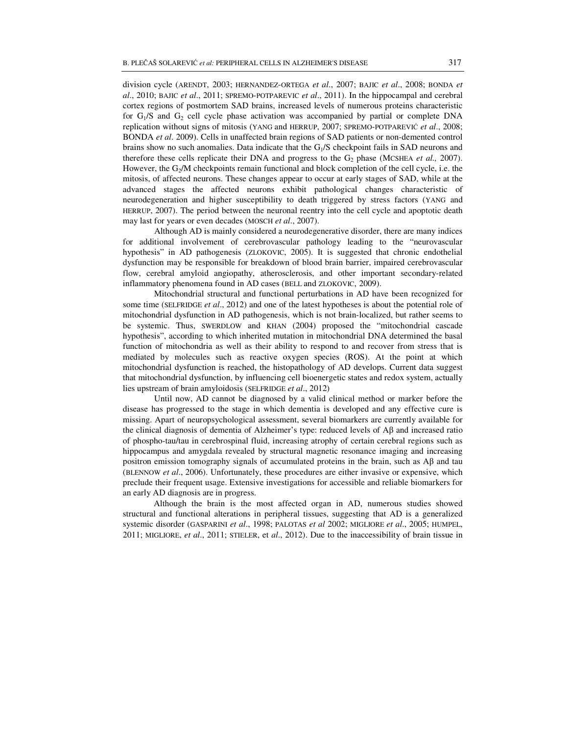division cycle (ARENDT, 2003; HERNANDEZ-ORTEGA *et al*., 2007; BAJIC *et al*., 2008; BONDA *et al*., 2010; BAJIC *et al*., 2011; SPREMO-POTPAREVIC *et al*., 2011). In the hippocampal and cerebral cortex regions of postmortem SAD brains, increased levels of numerous proteins characteristic for  $G_1/S$  and  $G_2$  cell cycle phase activation was accompanied by partial or complete DNA replication without signs of mitosis (YANG and HERRUP, 2007; SPREMO-POTPAREVIĆ *et al*., 2008; BONDA *et al*. 2009). Cells in unaffected brain regions of SAD patients or non-demented control brains show no such anomalies. Data indicate that the  $G<sub>1</sub>/S$  checkpoint fails in SAD neurons and therefore these cells replicate their DNA and progress to the G<sub>2</sub> phase (MCSHEA *et al.,* 2007). However, the G<sub>2</sub>/M checkpoints remain functional and block completion of the cell cycle, i.e. the mitosis, of affected neurons. These changes appear to occur at early stages of SAD, while at the advanced stages the affected neurons exhibit pathological changes characteristic of neurodegeneration and higher susceptibility to death triggered by stress factors (YANG and HERRUP, 2007). The period between the neuronal reentry into the cell cycle and apoptotic death may last for years or even decades (MOSCH *et al*., 2007).

 Although AD is mainly considered a neurodegenerative disorder, there are many indices for additional involvement of cerebrovascular pathology leading to the "neurovascular hypothesis" in AD pathogenesis (ZLOKOVIC, 2005). It is suggested that chronic endothelial dysfunction may be responsible for breakdown of blood brain barrier, impaired cerebrovascular flow, cerebral amyloid angiopathy, atherosclerosis, and other important secondary-related inflammatory phenomena found in AD cases (BELL and ZLOKOVIC, 2009).

 Mitochondrial structural and functional perturbations in AD have been recognized for some time (SELFRIDGE *et al*., 2012) and one of the latest hypotheses is about the potential role of mitochondrial dysfunction in AD pathogenesis, which is not brain-localized, but rather seems to be systemic. Thus, SWERDLOW and KHAN (2004) proposed the "mitochondrial cascade hypothesis", according to which inherited mutation in mitochondrial DNA determined the basal function of mitochondria as well as their ability to respond to and recover from stress that is mediated by molecules such as reactive oxygen species (ROS). At the point at which mitochondrial dysfunction is reached, the histopathology of AD develops. Current data suggest that mitochondrial dysfunction, by influencing cell bioenergetic states and redox system, actually lies upstream of brain amyloidosis (SELFRIDGE *et al*., 2012)

 Until now, AD cannot be diagnosed by a valid clinical method or marker before the disease has progressed to the stage in which dementia is developed and any effective cure is missing. Apart of neuropsychological assessment, several biomarkers are currently available for the clinical diagnosis of dementia of Alzheimer's type: reduced levels of Aβ and increased ratio of phospho-tau/tau in cerebrospinal fluid, increasing atrophy of certain cerebral regions such as hippocampus and amygdala revealed by structural magnetic resonance imaging and increasing positron emission tomography signals of accumulated proteins in the brain, such as  $A\beta$  and tau (BLENNOW *et al*., 2006). Unfortunately, these procedures are either invasive or expensive, which preclude their frequent usage. Extensive investigations for accessible and reliable biomarkers for an early AD diagnosis are in progress.

Although the brain is the most affected organ in AD, numerous studies showed structural and functional alterations in peripheral tissues, suggesting that AD is a generalized systemic disorder (GASPARINI *et al*., 1998; PALOTAS *et al* 2002; MIGLIORE *et al*., 2005; HUMPEL, 2011; MIGLIORE, *et al*., 2011; STIELER, et *al*., 2012). Due to the inaccessibility of brain tissue in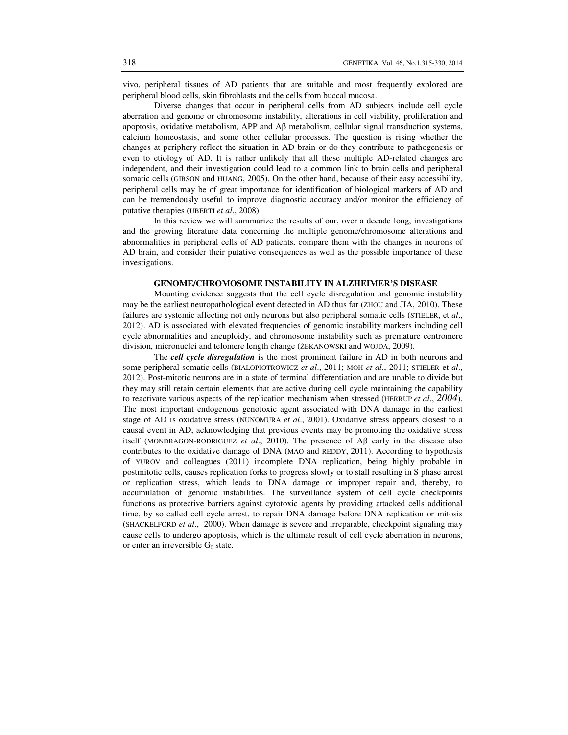vivo, peripheral tissues of AD patients that are suitable and most frequently explored are peripheral blood cells, skin fibroblasts and the cells from buccal mucosa.

 Diverse changes that occur in peripheral cells from AD subjects include cell cycle aberration and genome or chromosome instability, alterations in cell viability, proliferation and apoptosis, oxidative metabolism, APP and  $\mathsf{A}\beta$  metabolism, cellular signal transduction systems, calcium homeostasis, and some other cellular processes. The question is rising whether the changes at periphery reflect the situation in AD brain or do they contribute to pathogenesis or even to etiology of AD. It is rather unlikely that all these multiple AD-related changes are independent, and their investigation could lead to a common link to brain cells and peripheral somatic cells (GIBSON and HUANG, 2005). On the other hand, because of their easy accessibility, peripheral cells may be of great importance for identification of biological markers of AD and can be tremendously useful to improve diagnostic accuracy and/or monitor the efficiency of putative therapies (UBERTI *et al*., 2008).

In this review we will summarize the results of our, over a decade long, investigations and the growing literature data concerning the multiple genome/chromosome alterations and abnormalities in peripheral cells of AD patients, compare them with the changes in neurons of AD brain, and consider their putative consequences as well as the possible importance of these investigations.

### **GENOME/CHROMOSOME INSTABILITY IN ALZHEIMER'S DISEASE**

 Mounting evidence suggests that the cell cycle disregulation and genomic instability may be the earliest neuropathological event detected in AD thus far (ZHOU and JIA, 2010). These failures are systemic affecting not only neurons but also peripheral somatic cells (STIELER, et *al*., 2012). AD is associated with elevated frequencies of genomic instability markers including cell cycle abnormalities and aneuploidy, and chromosome instability such as premature centromere division, micronuclei and telomere length change (ŻEKANOWSKI and WOJDA, 2009).

 The *cell cycle disregulation* is the most prominent failure in AD in both neurons and some peripheral somatic cells (BIALOPIOTROWICZ *et al*., 2011; MOH *et al*., 2011; STIELER et *al*., 2012). Post-mitotic neurons are in a state of terminal differentiation and are unable to divide but they may still retain certain elements that are active during cell cycle maintaining the capability to reactivate various aspects of the replication mechanism when stressed (HERRUP *et al*., *2004*). The most important endogenous genotoxic agent associated with DNA damage in the earliest stage of AD is oxidative stress (NUNOMURA *et al*., 2001). Oxidative stress appears closest to a causal event in AD, acknowledging that previous events may be promoting the oxidative stress itself (MONDRAGON-RODRIGUEZ *et al*., 2010). The presence of Aβ early in the disease also contributes to the oxidative damage of DNA (MAO and REDDY, 2011). According to hypothesis of YUROV and colleagues (2011) incomplete DNA replication, being highly probable in postmitotic cells, causes replication forks to progress slowly or to stall resulting in S phase arrest or replication stress, which leads to DNA damage or improper repair and, thereby, to accumulation of genomic instabilities. The surveillance system of cell cycle checkpoints functions as protective barriers against cytotoxic agents by providing attacked cells additional time, by so called cell cycle arrest, to repair DNA damage before DNA replication or mitosis (SHACKELFORD *et al*., 2000). When damage is severe and irreparable, checkpoint signaling may cause cells to undergo apoptosis, which is the ultimate result of cell cycle aberration in neurons, or enter an irreversible  $G_0$  state.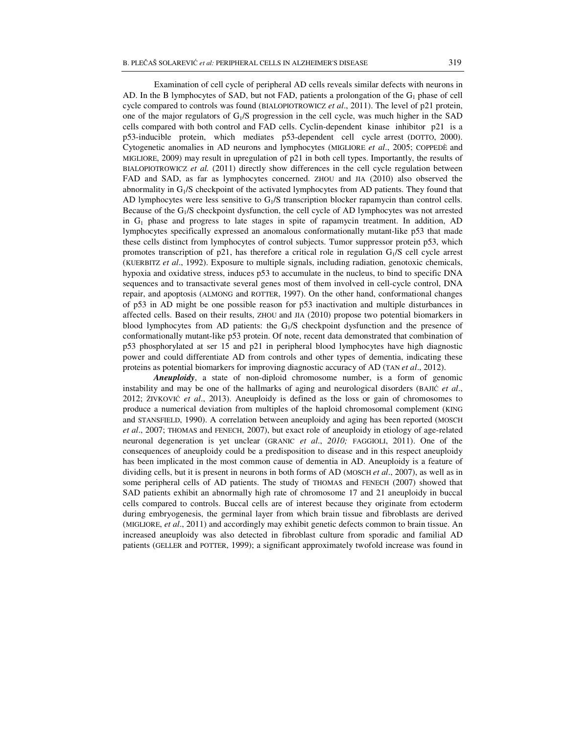Examination of cell cycle of peripheral AD cells reveals similar defects with neurons in AD. In the B lymphocytes of SAD, but not FAD, patients a prolongation of the  $G_1$  phase of cell cycle compared to controls was found (BIALOPIOTROWICZ *et al*., 2011). The level of p21 protein, one of the major regulators of  $G_1/S$  progression in the cell cycle, was much higher in the SAD cells compared with both control and FAD cells. Cyclin-dependent kinase inhibitor p21 is a p53-inducible protein, which mediates p53-dependent cell cycle arrest (DOTTO, 2000). Cytogenetic anomalies in AD neurons and lymphocytes (MIGLIORE *et al*., 2005; COPPEDÈ and MIGLIORE, 2009) may result in upregulation of p21 in both cell types. Importantly, the results of BIALOPIOTROWICZ *et al.* (2011) directly show differences in the cell cycle regulation between FAD and SAD, as far as lymphocytes concerned. ZHOU and JIA (2010) also observed the abnormality in  $G_1/S$  checkpoint of the activated lymphocytes from AD patients. They found that AD lymphocytes were less sensitive to  $G_1/S$  transcription blocker rapamycin than control cells. Because of the G<sub>1</sub>/S checkpoint dysfunction, the cell cycle of AD lymphocytes was not arrested in  $G_1$  phase and progress to late stages in spite of rapamycin treatment. In addition, AD lymphocytes specifically expressed an anomalous conformationally mutant-like p53 that made these cells distinct from lymphocytes of control subjects. Tumor suppressor protein p53, which promotes transcription of p21, has therefore a critical role in regulation G1/S cell cycle arrest (KUERBITZ *et al*., 1992). Exposure to multiple signals, including radiation, genotoxic chemicals, hypoxia and oxidative stress, induces p53 to accumulate in the nucleus, to bind to specific DNA sequences and to transactivate several genes most of them involved in cell-cycle control, DNA repair, and apoptosis (ALMONG and ROTTER, 1997). On the other hand, conformational changes of p53 in AD might be one possible reason for p53 inactivation and multiple disturbances in affected cells. Based on their results, ZHOU and JIA (2010) propose two potential biomarkers in blood lymphocytes from AD patients: the  $G_1/S$  checkpoint dysfunction and the presence of conformationally mutant-like p53 protein. Of note, recent data demonstrated that combination of p53 phosphorylated at ser 15 and p21 in peripheral blood lymphocytes have high diagnostic power and could differentiate AD from controls and other types of dementia, indicating these proteins as potential biomarkers for improving diagnostic accuracy of AD (TAN *et al*., 2012).

*Aneuploidy*, a state of non-diploid chromosome number, is a form of genomic instability and may be one of the hallmarks of aging and neurological disorders (BAJIĆ *et al*., 2012; ŽIVKOVIĆ *et al*., 2013). Aneuploidy is defined as the loss or gain of chromosomes to produce a numerical deviation from multiples of the haploid chromosomal complement (KING and STANSFIELD, 1990). A correlation between aneuploidy and aging has been reported (MOSCH *et al*., 2007; THOMAS and FENECH, 2007), but exact role of aneuploidy in etiology of age-related neuronal degeneration is yet unclear (GRANIC *et al*., *2010;* FAGGIOLI, 2011). One of the consequences of aneuploidy could be a predisposition to disease and in this respect aneuploidy has been implicated in the most common cause of dementia in AD. Aneuploidy is a feature of dividing cells, but it is present in neurons in both forms of AD (MOSCH *et al*., 2007), as well as in some peripheral cells of AD patients. The study of THOMAS and FENECH (2007) showed that SAD patients exhibit an abnormally high rate of chromosome 17 and 21 aneuploidy in buccal cells compared to controls. Buccal cells are of interest because they originate from ectoderm during embryogenesis, the germinal layer from which brain tissue and fibroblasts are derived (MIGLIORE, *et al*., 2011) and accordingly may exhibit genetic defects common to brain tissue. An increased aneuploidy was also detected in fibroblast culture from sporadic and familial AD patients (GELLER and POTTER, 1999); a significant approximately twofold increase was found in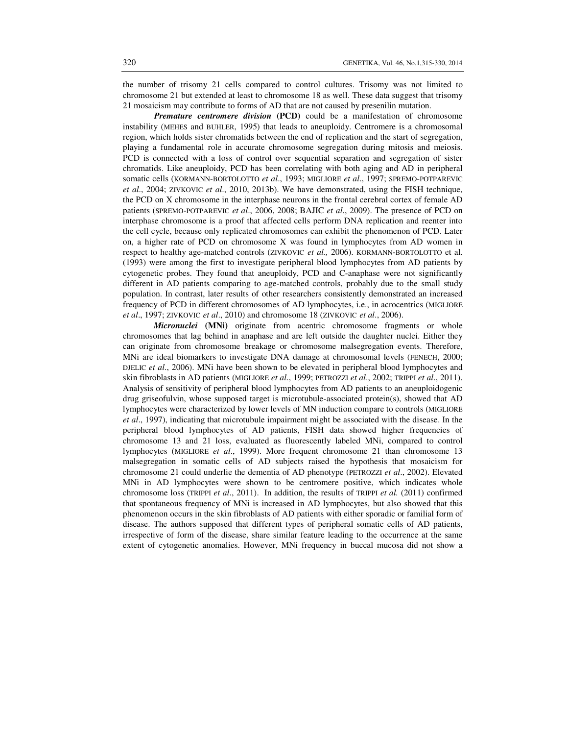the number of trisomy 21 cells compared to control cultures. Trisomy was not limited to chromosome 21 but extended at least to chromosome 18 as well. These data suggest that trisomy 21 mosaicism may contribute to forms of AD that are not caused by presenilin mutation.

*Premature centromere division* **(PCD)** could be a manifestation of chromosome instability (MEHES and BUHLER, 1995) that leads to aneuploidy. Centromere is a chromosomal region, which holds sister chromatids between the end of replication and the start of segregation, playing a fundamental role in accurate chromosome segregation during mitosis and meiosis. PCD is connected with a loss of control over sequential separation and segregation of sister chromatids. Like aneuploidy, PCD has been correlating with both aging and AD in peripheral somatic cells (KORMANN-BORTOLOTTO *et al*., 1993; MIGLIORE *et al*., 1997; SPREMO-POTPAREVIC *et al*., 2004; ZIVKOVIC *et al*., 2010, 2013b). We have demonstrated, using the FISH technique, the PCD on X chromosome in the interphase neurons in the frontal cerebral cortex of female AD patients (SPREMO-POTPAREVIC *et al*., 2006, 2008; BAJIC *et al*., 2009). The presence of PCD on interphase chromosome is a proof that affected cells perform DNA replication and reenter into the cell cycle, because only replicated chromosomes can exhibit the phenomenon of PCD. Later on, a higher rate of PCD on chromosome X was found in lymphocytes from AD women in respect to healthy age-matched controls (ZIVKOVIC *et al.,* 2006). KORMANN-BORTOLOTTO et al. (1993) were among the first to investigate peripheral blood lymphocytes from AD patients by cytogenetic probes. They found that aneuploidy, PCD and C-anaphase were not significantly different in AD patients comparing to age-matched controls, probably due to the small study population. In contrast, later results of other researchers consistently demonstrated an increased frequency of PCD in different chromosomes of AD lymphocytes, i.e., in acrocentrics (MIGLIORE *et al*., 1997; ZIVKOVIC *et al*., 2010) and chromosome 18 (ZIVKOVIC *et al*., 2006).

*Micronuclei* **(MNi)** originate from acentric chromosome fragments or whole chromosomes that lag behind in anaphase and are left outside the daughter nuclei. Either they can originate from chromosome breakage or chromosome malsegregation events. Therefore, MNi are ideal biomarkers to investigate DNA damage at chromosomal levels (FENECH, 2000; DJELIC *et al*., 2006). MNi have been shown to be elevated in peripheral blood lymphocytes and skin fibroblasts in AD patients (MIGLIORE *et al*., 1999; PETROZZI *et al*., 2002; TRIPPI *et al*., 2011). Analysis of sensitivity of peripheral blood lymphocytes from AD patients to an aneuploidogenic drug griseofulvin, whose supposed target is microtubule-associated protein(s), showed that AD lymphocytes were characterized by lower levels of MN induction compare to controls (MIGLIORE *et al*., 1997), indicating that microtubule impairment might be associated with the disease. In the peripheral blood lymphocytes of AD patients, FISH data showed higher frequencies of chromosome 13 and 21 loss, evaluated as fluorescently labeled MNi, compared to control lymphocytes (MIGLIORE *et al*., 1999). More frequent chromosome 21 than chromosome 13 malsegregation in somatic cells of AD subjects raised the hypothesis that mosaicism for chromosome 21 could underlie the dementia of AD phenotype (PETROZZI *et al*., 2002). Elevated MNi in AD lymphocytes were shown to be centromere positive, which indicates whole chromosome loss (TRIPPI *et al*., 2011). In addition, the results of TRIPPI *et al.* (2011) confirmed that spontaneous frequency of MNi is increased in AD lymphocytes, but also showed that this phenomenon occurs in the skin fibroblasts of AD patients with either sporadic or familial form of disease. The authors supposed that different types of peripheral somatic cells of AD patients, irrespective of form of the disease, share similar feature leading to the occurrence at the same extent of cytogenetic anomalies. However, MNi frequency in buccal mucosa did not show a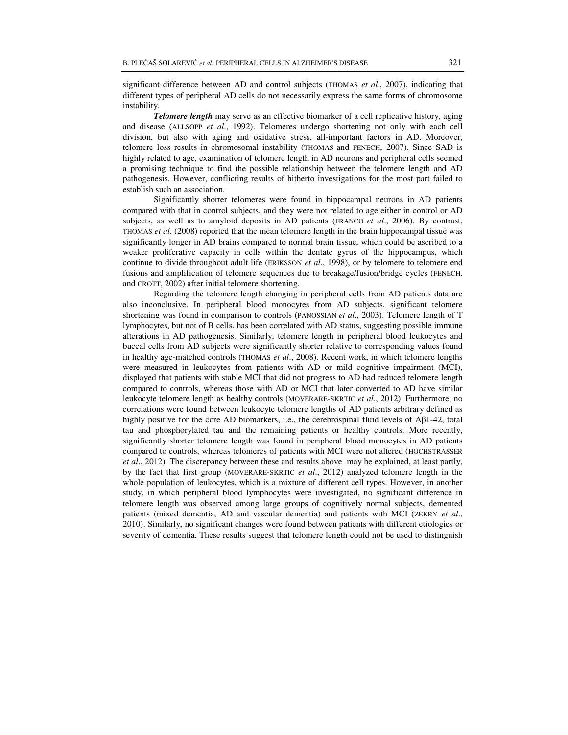significant difference between AD and control subjects (THOMAS *et al*., 2007), indicating that different types of peripheral AD cells do not necessarily express the same forms of chromosome instability.

*Telomere length* may serve as an effective biomarker of a cell replicative history, aging and disease (ALLSOPP *et al*., 1992). Telomeres undergo shortening not only with each cell division, but also with aging and oxidative stress, all-important factors in AD. Moreover, telomere loss results in chromosomal instability (THOMAS and FENECH, 2007). Since SAD is highly related to age, examination of telomere length in AD neurons and peripheral cells seemed a promising technique to find the possible relationship between the telomere length and AD pathogenesis. However, conflicting results of hitherto investigations for the most part failed to establish such an association.

Significantly shorter telomeres were found in hippocampal neurons in AD patients compared with that in control subjects, and they were not related to age either in control or AD subjects, as well as to amyloid deposits in AD patients (FRANCO *et al*., 2006). By contrast, THOMAS *et al*. (2008) reported that the mean telomere length in the brain hippocampal tissue was significantly longer in AD brains compared to normal brain tissue, which could be ascribed to a weaker proliferative capacity in cells within the dentate gyrus of the hippocampus, which continue to divide throughout adult life (ERIKSSON *et al*., 1998), or by telomere to telomere end fusions and amplification of telomere sequences due to breakage/fusion/bridge cycles (FENECH. and CROTT, 2002) after initial telomere shortening.

Regarding the telomere length changing in peripheral cells from AD patients data are also inconclusive. In peripheral blood monocytes from AD subjects, significant telomere shortening was found in comparison to controls (PANOSSIAN *et al*., 2003). Telomere length of T lymphocytes, but not of B cells, has been correlated with AD status, suggesting possible immune alterations in AD pathogenesis. Similarly, telomere length in peripheral blood leukocytes and buccal cells from AD subjects were significantly shorter relative to corresponding values found in healthy age-matched controls (THOMAS *et al*., 2008). Recent work, in which telomere lengths were measured in leukocytes from patients with AD or mild cognitive impairment (MCI), displayed that patients with stable MCI that did not progress to AD had reduced telomere length compared to controls, whereas those with AD or MCI that later converted to AD have similar leukocyte telomere length as healthy controls (MOVERARE-SKRTIC *et al*., 2012). Furthermore, no correlations were found between leukocyte telomere lengths of AD patients arbitrary defined as highly positive for the core AD biomarkers, i.e., the cerebrospinal fluid levels of Aβ1-42, total tau and phosphorylated tau and the remaining patients or healthy controls. More recently, significantly shorter telomere length was found in peripheral blood monocytes in AD patients compared to controls, whereas telomeres of patients with MCI were not altered (HOCHSTRASSER *et al*., 2012). The discrepancy between these and results above may be explained, at least partly, by the fact that first group (MOVERARE-SKRTIC *et al*., 2012) analyzed telomere length in the whole population of leukocytes, which is a mixture of different cell types. However, in another study, in which peripheral blood lymphocytes were investigated, no significant difference in telomere length was observed among large groups of cognitively normal subjects, demented patients (mixed dementia, AD and vascular dementia) and patients with MCI (ZEKRY *et al*., 2010). Similarly, no significant changes were found between patients with different etiologies or severity of dementia. These results suggest that telomere length could not be used to distinguish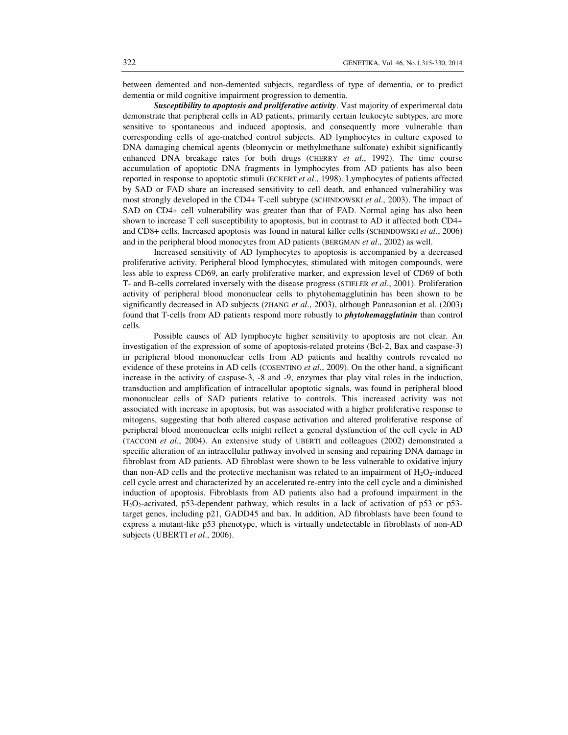between demented and non-demented subjects, regardless of type of dementia, or to predict dementia or mild cognitive impairment progression to dementia.

*Susceptibility to apoptosis and proliferative activity*. Vast majority of experimental data demonstrate that peripheral cells in AD patients, primarily certain leukocyte subtypes, are more sensitive to spontaneous and induced apoptosis, and consequently more vulnerable than corresponding cells of age-matched control subjects. AD lymphocytes in culture exposed to DNA damaging chemical agents (bleomycin or methylmethane sulfonate) exhibit significantly enhanced DNA breakage rates for both drugs (CHERRY *et al*., 1992). The time course accumulation of apoptotic DNA fragments in lymphocytes from AD patients has also been reported in response to apoptotic stimuli (ECKERT *et al*., 1998). Lymphocytes of patients affected by SAD or FAD share an increased sensitivity to cell death, and enhanced vulnerability was most strongly developed in the CD4+ T-cell subtype (SCHINDOWSKI *et al*., 2003). The impact of SAD on CD4+ cell vulnerability was greater than that of FAD. Normal aging has also been shown to increase T cell susceptibility to apoptosis, but in contrast to AD it affected both CD4+ and CD8+ cells. Increased apoptosis was found in natural killer cells (SCHINDOWSKI *et al*., 2006) and in the peripheral blood monocytes from AD patients (BERGMAN *et al*., 2002) as well.

Increased sensitivity of AD lymphocytes to apoptosis is accompanied by a decreased proliferative activity. Peripheral blood lymphocytes, stimulated with mitogen compounds, were less able to express CD69, an early proliferative marker, and expression level of CD69 of both T- and B-cells correlated inversely with the disease progress (STIELER *et al*., 2001). Proliferation activity of peripheral blood mononuclear cells to phytohemagglutinin has been shown to be significantly decreased in AD subjects (ZHANG *et al*., 2003), although Pannasonian et al. (2003) found that T-cells from AD patients respond more robustly to *phytohemagglutinin* than control cells.

Possible causes of AD lymphocyte higher sensitivity to apoptosis are not clear. An investigation of the expression of some of apoptosis-related proteins (Bcl-2, Bax and caspase-3) in peripheral blood mononuclear cells from AD patients and healthy controls revealed no evidence of these proteins in AD cells (COSENTINO *et al*., 2009). On the other hand, a significant increase in the activity of caspase-3, -8 and -9, enzymes that play vital roles in the induction, transduction and amplification of intracellular apoptotic signals, was found in peripheral blood mononuclear cells of SAD patients relative to controls. This increased activity was not associated with increase in apoptosis, but was associated with a higher proliferative response to mitogens, suggesting that both altered caspase activation and altered proliferative response of peripheral blood mononuclear cells might reflect a general dysfunction of the cell cycle in AD (TACCONI *et al*., 2004). An extensive study of UBERTI and colleagues (2002) demonstrated a specific alteration of an intracellular pathway involved in sensing and repairing DNA damage in fibroblast from AD patients. AD fibroblast were shown to be less vulnerable to oxidative injury than non-AD cells and the protective mechanism was related to an impairment of  $H_2O_2$ -induced cell cycle arrest and characterized by an accelerated re-entry into the cell cycle and a diminished induction of apoptosis. Fibroblasts from AD patients also had a profound impairment in the  $H<sub>2</sub>O<sub>2</sub>$ -activated, p53-dependent pathway, which results in a lack of activation of p53 or p53target genes, including p21, GADD45 and bax. In addition, AD fibroblasts have been found to express a mutant-like p53 phenotype, which is virtually undetectable in fibroblasts of non-AD subjects (UBERTI *et al*., 2006).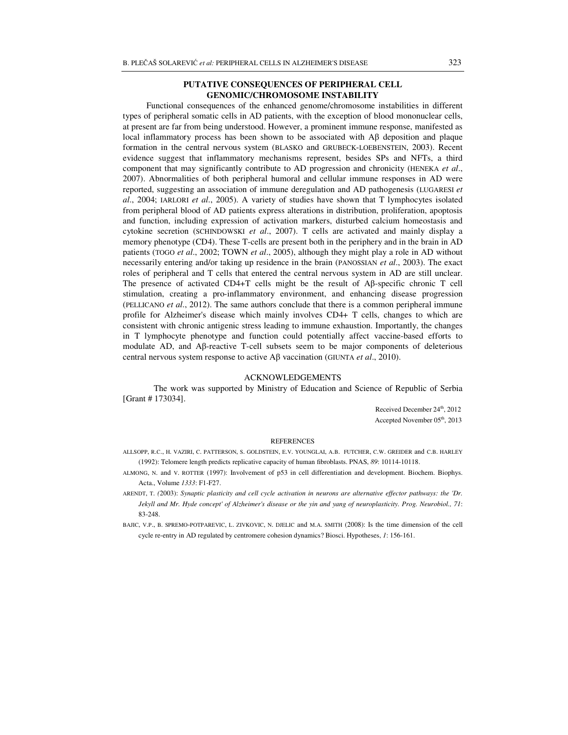# **PUTATIVE CONSEQUENCES OF PERIPHERAL CELL GENOMIC/CHROMOSOME INSTABILITY**

 Functional consequences of the enhanced genome/chromosome instabilities in different types of peripheral somatic cells in AD patients, with the exception of blood mononuclear cells, at present are far from being understood. However, a prominent immune response, manifested as local inflammatory process has been shown to be associated with Aβ deposition and plaque formation in the central nervous system (BLASKO and GRUBECK-LOEBENSTEIN, 2003). Recent evidence suggest that inflammatory mechanisms represent, besides SPs and NFTs, a third component that may significantly contribute to AD progression and chronicity (HENEKA *et al*., 2007). Abnormalities of both peripheral humoral and cellular immune responses in AD were reported, suggesting an association of immune deregulation and AD pathogenesis (LUGARESI *et al*., 2004; IARLORI *et al*., 2005). A variety of studies have shown that T lymphocytes isolated from peripheral blood of AD patients express alterations in distribution, proliferation, apoptosis and function, including expression of activation markers, disturbed calcium homeostasis and cytokine secretion (SCHINDOWSKI *et al*., 2007). T cells are activated and mainly display a memory phenotype (CD4). These T-cells are present both in the periphery and in the brain in AD patients (TOGO *et al*., 2002; TOWN *et al*., 2005), although they might play a role in AD without necessarily entering and/or taking up residence in the brain (PANOSSIAN *et al*., 2003). The exact roles of peripheral and T cells that entered the central nervous system in AD are still unclear. The presence of activated CD4+T cells might be the result of Aβ-specific chronic T cell stimulation, creating a pro-inflammatory environment, and enhancing disease progression (PELLICANO *et al*., 2012). The same authors conclude that there is a common peripheral immune profile for Alzheimer's disease which mainly involves CD4+ T cells, changes to which are consistent with chronic antigenic stress leading to immune exhaustion. Importantly, the changes in T lymphocyte phenotype and function could potentially affect vaccine-based efforts to modulate AD, and Aβ-reactive T-cell subsets seem to be major components of deleterious central nervous system response to active Aβ vaccination (GIUNTA *et al*., 2010).

## ACKNOWLEDGEMENTS

The work was supported by Ministry of Education and Science of Republic of Serbia [Grant # 173034].

> Received December 24<sup>th</sup>, 2012 Accepted November 05<sup>th</sup>, 2013

#### **REFERENCES**

- ALLSOPP, R.C., H. VAZIRI, C. PATTERSON, S. GOLDSTEIN, E.V. YOUNGLAI, A.B. FUTCHER, C.W. GREIDER and C.B. HARLEY (1992): Telomere length predicts replicative capacity of human fibroblasts. PNAS, *89*: 10114-10118.
- ALMONG, N. and V. ROTTER (1997): Involvement of p53 in cell differentiation and development. Biochem. Biophys. Acta., Volume *1333*: F1-F27.
- ARENDT, T. *(*2003): *Synaptic plasticity and cell cycle activation in neurons are alternative effector pathways: the 'Dr. Jekyll and Mr. Hyde concept' of Alzheimer's disease or the yin and yang of neuroplasticity. Prog. Neurobiol., 71*: 83-248.
- BAJIC, V.P., B. SPREMO-POTPAREVIC, L. ZIVKOVIC, N. DJELIC and M.A. SMITH (2008): Is the time dimension of the cell cycle re-entry in AD regulated by centromere cohesion dynamics? Biosci. Hypotheses, *1*: 156-161.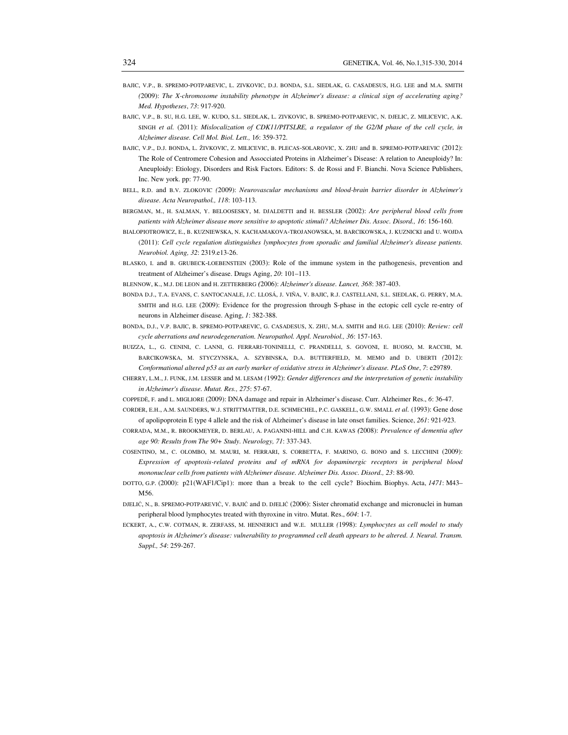- BAJIC, V.P., B. SPREMO-POTPAREVIC, L. ZIVKOVIC, D.J. BONDA, S.L. SIEDLAK, G. CASADESUS, H.G. LEE and M.A. SMITH *(*2009): *The X-chromosome instability phenotype in Alzheimer's disease: a clinical sign of accelerating aging? Med. Hypotheses*, *73*: 917-920.
- BAJIC, V.P., B. SU, H.G. LEE, W. KUDO, S.L. SIEDLAK, L. ZIVKOVIC, B. SPREMO-POTPAREVIC, N. DJELIC, Z. MILICEVIC, A.K. SINGH *et al.* (2011): *Mislocalization of CDK11/PITSLRE, a regulator of the G2/M phase of the cell cycle, in Alzheimer disease. Cell Mol. Biol. Lett.,* 1*6*: 359-372.
- BAJIC, V.P., D.J. BONDA, L. ŽIVKOVIC, Z. MILICEVIC, B. PLECAS-SOLAROVIC, X. ZHU and B. SPREMO-POTPAREVIC (2012): The Role of Centromere Cohesion and Assocciated Proteins in Alzheimer's Disease: A relation to Aneuploidy? In: Aneuploidy: Etiology, Disorders and Risk Factors. Editors: S. de Rossi and F. Bianchi. Nova Science Publishers, Inc. New york. pp: 77-90.
- BELL, R.D. and B.V. ZLOKOVIC *(*2009): *Neurovascular mechanisms and blood-brain barrier disorder in Alzheimer's disease. Acta Neuropathol., 118*: 103-113.
- BERGMAN, M., H. SALMAN, Y. BELOOSESKY, M. DJALDETTI and H. BESSLER (2002): *Are peripheral blood cells from patients with Alzheimer disease more sensitive to apoptotic stimuli? Alzheimer Dis. Assoc. Disord., 16*: 156-160.
- BIALOPIOTROWICZ, E., B. KUZNIEWSKA, N. KACHAMAKOVA-TROJANOWSKA, M. BARCIKOWSKA, J. KUZNICKI and U. WOJDA (2011): *Cell cycle regulation distinguishes lymphocytes from sporadic and familial Alzheimer's disease patients. Neurobiol. Aging, 32*: 2319.e13-26.
- BLASKO, I. and B. GRUBECK-LOEBENSTEIN (2003): Role of the immune system in the pathogenesis, prevention and treatment of Alzheimer's disease. Drugs Aging, *20*: 101–113.
- BLENNOW, K., M.J. DE LEON and H. ZETTERBERG *(*2006): *Alzheimer's disease. Lancet, 368*: 387-403.
- BONDA D.J., T.A. EVANS, C. SANTOCANALE, J.C. LLOSÁ, J. VIÑA, V. BAJIC, R.J. CASTELLANI, S.L. SIEDLAK, G. PERRY, M.A. SMITH and H.G. LEE (2009): Evidence for the progression through S-phase in the ectopic cell cycle re-entry of neurons in Alzheimer disease. Aging, *1*: 382-388.
- BONDA, D.J., V.P. BAJIC, B. SPREMO-POTPAREVIC, G. CASADESUS, X. ZHU, M.A. SMITH and H.G. LEE (2010): *Review: cell cycle aberrations and neurodegeneration. Neuropathol. Appl. Neurobiol., 36*: 157-163.
- BUIZZA, L., G. CENINI, C. LANNI, G. FERRARI-TONINELLI, C. PRANDELLI, S. GOVONI, E. BUOSO, M. RACCHI, M. BARCIKOWSKA, M. STYCZYNSKA, A. SZYBINSKA, D.A. BUTTERFIELD, M. MEMO and D. UBERTI *(*2012): *Conformational altered p53 as an early marker of oxidative stress in Alzheimer's disease. PLoS One*, *7*: e29789.
- CHERRY, L.M., J. FUNK, J.M. LESSER and M. LESAM *(*1992): *Gender differences and the interpretation of genetic instability in Alzheimer's disease. Mutat. Res., 275*: 57-67.
- COPPEDÈ, F. and L. MIGLIORE (2009): DNA damage and repair in Alzheimer's disease. Curr. Alzheimer Res., *6*: 36-47.
- CORDER, E.H., A.M. SAUNDERS, W.J. STRITTMATTER, D.E. SCHMECHEL, P.C. GASKELL, G.W. SMALL *et al.* (1993): Gene dose of apolipoprotein E type 4 allele and the risk of Alzheimer's disease in late onset families. Science, *261*: 921-923.
- CORRADA, M.M., R. BROOKMEYER, D. BERLAU, A. PAGANINI-HILL and C.H. KAWAS *(*2008): *Prevalence of dementia after age 90: Results from The 90+ Study. Neurology, 71*: 337-343.
- COSENTINO, M., C. OLOMBO, M. MAURI, M. FERRARI, S. CORBETTA, F. MARINO, G. BONO and S. LECCHINI (2009): *Expression of apoptosis-related proteins and of mRNA for dopaminergic receptors in peripheral blood mononuclear cells from patients with Alzheimer disease. Alzheimer Dis. Assoc. Disord., 23*: 88-90.
- DOTTO, G.P. (2000): p21(WAF1/Cip1): more than a break to the cell cycle? Biochim. Biophys. Acta, *1471*: M43– M56.
- DJELIĆ, N., B. SPREMO-POTPAREVIĆ, V. BAJIĆ and D. DJELIĆ (2006): Sister chromatid exchange and micronuclei in human peripheral blood lymphocytes treated with thyroxine in vitro. Mutat. Res., *604*: 1-7.
- ECKERT, A., C.W. COTMAN, R. ZERFASS, M. HENNERICI and W.E. MULLER *(*1998): *Lymphocytes as cell model to study apoptosis in Alzheimer's disease: vulnerability to programmed cell death appears to be altered. J. Neural. Transm. Suppl., 54*: 259-267.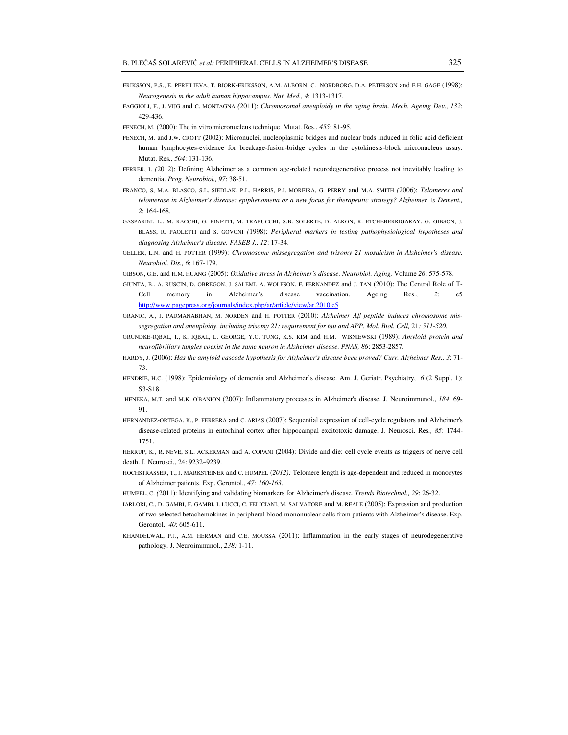- ERIKSSON, P.S., E. PERFILIEVA, T. BJORK-ERIKSSON, A.M. ALBORN, C. NORDBORG, D.A. PETERSON and F.H. GAGE (1998): *Neurogenesis in the adult human hippocampus. Nat. Med., 4*: 1313-1317.
- FAGGIOLI, F., J. VIJG and C. MONTAGNA *(*2011): *Chromosomal aneuploidy in the aging brain. Mech. Ageing Dev., 132*: 429-436.
- FENECH, M. (2000): The in vitro micronucleus technique. Mutat. Res., *455*: 81-95.
- FENECH, M. and J.W. CROTT (2002): Micronuclei, nucleoplasmic bridges and nuclear buds induced in folic acid deficient human lymphocytes-evidence for breakage-fusion-bridge cycles in the cytokinesis-block micronucleus assay. Mutat. Res*., 504*: 131-136.
- FERRER, I. *(*2012): Defining Alzheimer as a common age-related neurodegenerative process not inevitably leading to dementia. *Prog. Neurobiol., 97*: 38-51.
- FRANCO, S, M.A. BLASCO, S.L. SIEDLAK, P.L. HARRIS, P.I. MOREIRA, G. PERRY and M.A. SMITH *(*2006): *Telomeres and telomerase in Alzheimer's disease: epiphenomena or a new focus for therapeutic strategy? Alzheimers Dement., 2*: 164-168.
- GASPARINI, L., M. RACCHI, G. BINETTI, M. TRABUCCHI, S.B. SOLERTE, D. ALKON, R. ETCHEBERRIGARAY, G. GIBSON, J. BLASS, R. PAOLETTI and S. GOVONI *(*1998): *Peripheral markers in testing pathophysiological hypotheses and diagnosing Alzheimer's disease. FASEB J., 12*: 17-34.
- GELLER, L.N. and H. POTTER (1999): *Chromosome missegregation and trisomy 21 mosaicism in Alzheimer's disease. Neurobiol. Dis., 6*: 167-179.
- GIBSON, G.E. and H.M. HUANG (2005): *Oxidative stress in Alzheimer's disease. Neurobiol. Aging,* Volume *26*: 575-578.
- GIUNTA, B., A. RUSCIN, D. OBREGON, J. SALEMI, A. WOLFSON, F. FERNANDEZ and J. TAN (2010): The Central Role of T-Cell memory in Alzheimer's disease vaccination. Ageing Res., *2*: e5 http://www.pagepress.org/journals/index.php/ar/article/view/ar.2010.e5
- GRANIC, A., J. PADMANABHAN, M. NORDEN and H. POTTER (2010): *Alzheimer A*β *peptide induces chromosome missegregation and aneuploidy, including trisomy 21: requirement for tau and APP. Mol. Biol. Cell, 21: 511-520.*
- GRUNDKE-IQBAL, I., K. IQBAL, L. GEORGE, Y.C. TUNG, K.S. KIM and H.M. WISNIEWSKI (1989): *Amyloid protein and neurofibrillary tangles coexist in the same neuron in Alzheimer disease. PNAS, 86*: 2853-2857.
- HARDY, J. (2006): *Has the amyloid cascade hypothesis for Alzheimer's disease been proved? Curr. Alzheimer Res., 3*: 71- 73.
- HENDRIE, H.C. (1998): Epidemiology of dementia and Alzheimer's disease. Am. J. Geriatr. Psychiatry, *6* (2 Suppl. 1): S3-S18.
- HENEKA, M.T. and M.K. O'BANION (2007): Inflammatory processes in Alzheimer's disease. J. Neuroimmunol., *184*: 69- 91.
- HERNANDEZ-ORTEGA, K., P. FERRERA and C. ARIAS (2007): Sequential expression of cell-cycle regulators and Alzheimer's disease-related proteins in entorhinal cortex after hippocampal excitotoxic damage. J. Neurosci. Res*., 85*: 1744- 1751.
- HERRUP, K., R. NEVE, S.L. ACKERMAN and A. COPANI (2004): Divide and die: cell cycle events as triggers of nerve cell death. J. Neurosci., 24: 9232–9239.
- HOCHSTRASSER, T., J. MARKSTEINER and C. HUMPEL (*2012):* Telomere length is age-dependent and reduced in monocytes of Alzheimer patients. Exp. Gerontol., *47: 160-163.*
- HUMPEL, C. *(*2011): Identifying and validating biomarkers for Alzheimer's disease*. Trends Biotechnol., 29*: 26-32.
- IARLORI, C., D. GAMBI, F. GAMBI, I. LUCCI, C. FELICIANI, M. SALVATORE and M. REALE (2005): Expression and production of two selected betachemokines in peripheral blood mononuclear cells from patients with Alzheimer's disease. Exp. Gerontol., *40*: 605-611.
- KHANDELWAL, P.J., A.M. HERMAN and C.E. MOUSSA (2011): Inflammation in the early stages of neurodegenerative pathology. J. Neuroimmunol., *238:* 1-11.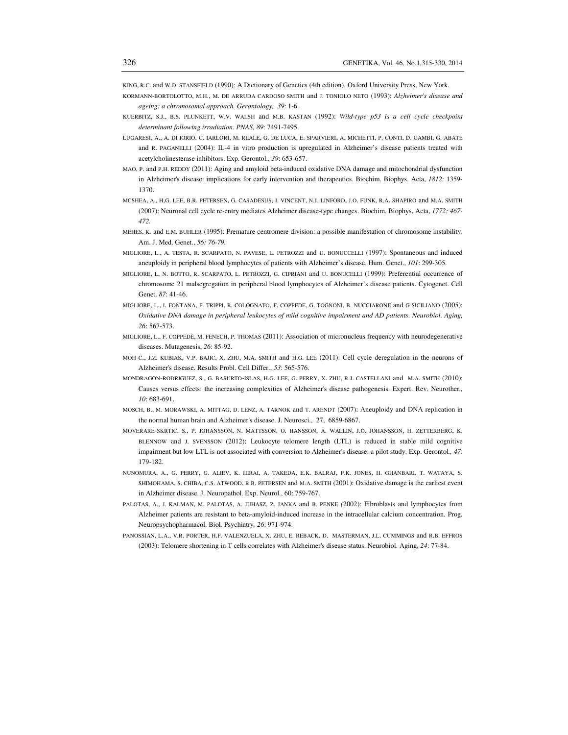KING, R.C. and W.D. STANSFIELD (1990): A Dictionary of Genetics (4th edition). Oxford University Press, New York.

- KORMANN-BORTOLOTTO, M.H., M. DE ARRUDA CARDOSO SMITH and J. TONIOLO NETO (1993): *Alzheimer's disease and ageing: a chromosomal approach. Gerontology, 39*: 1-6.
- KUERBITZ, S.J., B.S. PLUNKETT, W.V. WALSH and M.B. KASTAN (1992): *Wild-type p53 is a cell cycle checkpoint determinant following irradiation. PNAS, 89*: 7491-7495.
- LUGARESI, A., A. DI IORIO, C. IARLORI, M. REALE, G. DE LUCA, E. SPARVIERI, A. MICHETTI, P. CONTI, D. GAMBI, G. ABATE and R. PAGANELLI (2004): IL-4 in vitro production is upregulated in Alzheimer's disease patients treated with acetylcholinesterase inhibitors. Exp. Gerontol., *39*: 653-657.
- MAO, P. and P.H. REDDY (2011): Aging and amyloid beta-induced oxidative DNA damage and mitochondrial dysfunction in Alzheimer's disease: implications for early intervention and therapeutics. Biochim. Biophys. Acta, *1812*: 1359- 1370.
- MCSHEA, A., H,G. LEE, B.R. PETERSEN, G. CASADESUS, I. VINCENT, N.J. LINFORD, J.O. FUNK, R.A. SHAPIRO and M.A. SMITH (2007): Neuronal cell cycle re-entry mediates Alzheimer disease-type changes. Biochim. Biophys. Acta, *1772: 467- 472.*
- MEHES, K. and E.M. BUHLER (1995): Premature centromere division: a possible manifestation of chromosome instability. Am. J. Med. Genet., *56: 76-79.*
- MIGLIORE, L., A. TESTA, R. SCARPATO, N. PAVESE, L. PETROZZI and U. BONUCCELLI (1997): Spontaneous and induced aneuploidy in peripheral blood lymphocytes of patients with Alzheimer's disease. Hum. Genet., *101*: 299-305.
- MIGLIORE, L, N. BOTTO, R. SCARPATO, L. PETROZZI, G. CIPRIANI and U. BONUCELLI (1999): Preferential occurrence of chromosome 21 malsegregation in peripheral blood lymphocytes of Alzheimer's disease patients. Cytogenet. Cell Genet. *87*: 41-46.
- MIGLIORE, L., I. FONTANA, F. TRIPPI, R. COLOGNATO, F. COPPEDE, G. TOGNONI, B. NUCCIARONE and G SICILIANO (2005): *Oxidative DNA damage in peripheral leukocytes of mild cognitive impairment and AD patients. Neurobiol. Aging, 26*: 567-573.
- MIGLIORE, L., F. COPPEDÈ, M. FENECH, P. THOMAS (2011): Association of micronucleus frequency with neurodegenerative diseases. Mutagenesis, *26*: 85-92.
- MOH C., J.Z. KUBIAK, V.P. BAJIC, X. ZHU, M.A. SMITH and H.G. LEE (2011): Cell cycle deregulation in the neurons of Alzheimer's disease. Results Probl. Cell Differ., *53*: 565-576.
- MONDRAGON-RODRIGUEZ, S., G. BASURTO-ISLAS, H.G. LEE, G. PERRY, X. ZHU, R.J. CASTELLANI and M.A. SMITH (2010): Causes versus effects: the increasing complexities of Alzheimer's disease pathogenesis. Expert. Rev. Neurother*., 10*: 683-691.
- MOSCH, B., M. MORAWSKI, A. MITTAG, D. LENZ, A. TARNOK and T. ARENDT (2007): Aneuploidy and DNA replication in the normal human brain and Alzheimer's disease. J. Neurosci.,27, 6859-6867.
- MOVERARE-SKRTIC, S., P. JOHANSSON, N. MATTSSON, O. HANSSON, A. WALLIN, J.O. JOHANSSON, H. ZETTERBERG, K. BLENNOW and J. SVENSSON (2012): Leukocyte telomere length (LTL) is reduced in stable mild cognitive impairment but low LTL is not associated with conversion to Alzheimer's disease: a pilot study. Exp. Gerontol*., 47*: 179-182.
- NUNOMURA, A., G. PERRY, G. ALIEV, K. HIRAI, A. TAKEDA, E.K. BALRAJ, P.K. JONES, H. GHANBARI, T. WATAYA, S. SHIMOHAMA, S. CHIBA, C.S. ATWOOD, R.B. PETERSEN and M.A. SMITH (2001): Oxidative damage is the earliest event in Alzheimer disease. J. Neuropathol. Exp. Neurol., 60: 759-767.
- PALOTAS, A., J. KALMAN, M. PALOTAS, A. JUHASZ, Z. JANKA and B. PENKE *(*2002): Fibroblasts and lymphocytes from Alzheimer patients are resistant to beta-amyloid-induced increase in the intracellular calcium concentration. Prog. Neuropsychopharmacol. Biol. Psychiatry*, 26*: 971-974.
- PANOSSIAN, L.A., V.R. PORTER, H.F. VALENZUELA, X. ZHU, E. REBACK, D. MASTERMAN, J.L. CUMMINGS and R.B. EFFROS (2003): Telomere shortening in T cells correlates with Alzheimer's disease status. Neurobiol. Aging, *24*: 77-84.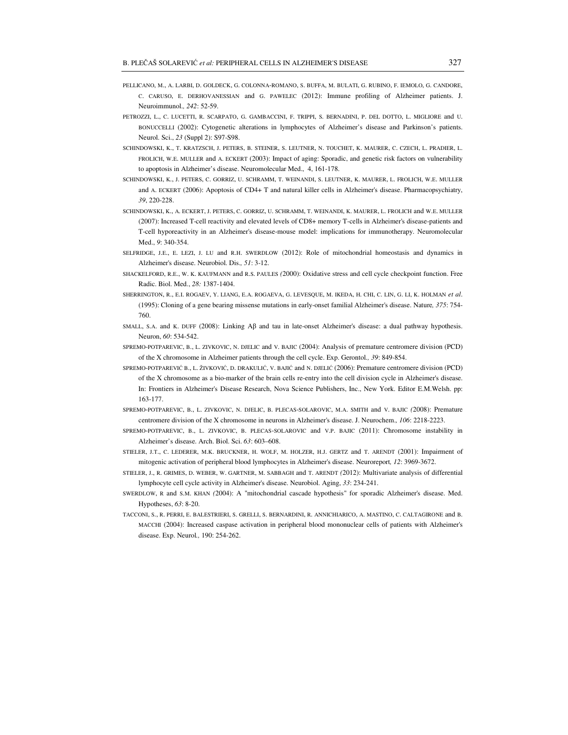- PELLICANO, M., A. LARBI, D. GOLDECK, G. COLONNA-ROMANO, S. BUFFA, M. BULATI, G. RUBINO, F. IEMOLO, G. CANDORE, C. CARUSO, E. DERHOVANESSIAN and G. PAWELEC (2012): Immune profiling of Alzheimer patients. J. Neuroimmunol.*, 242*: 52-59.
- PETROZZI, L., C. LUCETTI, R. SCARPATO, G. GAMBACCINI, F. TRIPPI, S. BERNADINI, P. DEL DOTTO, L. MIGLIORE and U. BONUCCELLI (2002): Cytogenetic alterations in lymphocytes of Alzheimer's disease and Parkinson's patients. Neurol. Sci., *23* (Suppl 2): S97-S98.
- SCHINDOWSKI, K., T. KRATZSCH, J. PETERS, B. STEINER, S. LEUTNER, N. TOUCHET, K. MAURER, C. CZECH, L. PRADIER, L. FROLICH, W.E. MULLER and A. ECKERT (2003): Impact of aging: Sporadic, and genetic risk factors on vulnerability to apoptosis in Alzheimer's disease. Neuromolecular Med., 4, 161-178.
- SCHINDOWSKI, K., J. PETERS, C. GORRIZ, U. SCHRAMM, T. WEINANDI, S. LEUTNER, K. MAURER, L. FROLICH, W.E. MULLER and A. ECKERT (2006): Apoptosis of CD4+ T and natural killer cells in Alzheimer's disease. Pharmacopsychiatry, *39*, 220-228.
- SCHINDOWSKI, K., A. ECKERT, J. PETERS, C. GORRIZ, U. SCHRAMM, T. WEINANDI, K. MAURER, L. FROLICH and W.E. MULLER (2007): Increased T-cell reactivity and elevated levels of CD8+ memory T-cells in Alzheimer's disease-patients and T-cell hyporeactivity in an Alzheimer's disease-mouse model: implications for immunotherapy. Neuromolecular Med., *9*: 340-354.
- SELFRIDGE, J.E., E. LEZI, J. LU and R.H. SWERDLOW (2012): Role of mitochondrial homeostasis and dynamics in Alzheimer's disease. Neurobiol. Dis.*, 51*: 3-12.
- SHACKELFORD, R.E., W. K. KAUFMANN and R.S. PAULES *(*2000): Oxidative stress and cell cycle checkpoint function. Free Radic. Biol. Med., *28:* 1387-1404.
- SHERRINGTON, R., E.I. ROGAEV, Y. LIANG, E.A. ROGAEVA, G. LEVESQUE, M. IKEDA, H. CHI, C. LIN, G. LI, K. HOLMAN *et al*. (1995): Cloning of a gene bearing missense mutations in early-onset familial Alzheimer's disease. Nature*, 375*: 754- 760.
- SMALL, S.A. and K. DUFF (2008): Linking Aβ and tau in late-onset Alzheimer's disease: a dual pathway hypothesis. Neuron, *60*: 534-542.
- SPREMO-POTPAREVIC, B., L. ZIVKOVIC, N. DJELIC and V. BAJIC (2004): Analysis of premature centromere division (PCD) of the X chromosome in Alzheimer patients through the cell cycle. Exp. Gerontol*., 39*: 849-854.
- SPREMO-POTPAREVIĆ B., L. ŽIVKOVIĆ, D. DRAKULIĆ, V. BAJIĆ and N. DJELIĆ (2006): Premature centromere division (PCD) of the X chromosome as a bio-marker of the brain cells re-entry into the cell division cycle in Alzheimer's disease. In: Frontiers in Alzheimer's Disease Research, Nova Science Publishers, Inc., New York. Editor E.M.Welsh. pp: 163-177.
- SPREMO-POTPAREVIC, B., L. ZIVKOVIC, N. DJELIC, B. PLECAS-SOLAROVIC, M.A. SMITH and V. BAJIC *(*2008): Premature centromere division of the X chromosome in neurons in Alzheimer's disease. J. Neurochem.*, 106*: 2218-2223.
- SPREMO-POTPAREVIC, B., L. ZIVKOVIC, B. PLECAS-SOLAROVIC and V.P. BAJIC (2011): Chromosome instability in Alzheimer's disease. Arch. Biol. Sci. *63*: 603–608.
- STIELER, J.T., C. LEDERER, M.K. BRUCKNER, H. WOLF, M. HOLZER, H.J. GERTZ and T. ARENDT (2001): Impairment of mitogenic activation of peripheral blood lymphocytes in Alzheimer's disease. Neuroreport*, 12*: 3969-3672.
- STIELER, J., R. GRIMES, D. WEBER, W. GARTNER, M. SABBAGH and T. ARENDT *(*2012): Multivariate analysis of differential lymphocyte cell cycle activity in Alzheimer's disease. Neurobiol. Aging, *33*: 234-241.
- SWERDLOW, R and S.M. KHAN *(*2004): A "mitochondrial cascade hypothesis" for sporadic Alzheimer's disease. Med. Hypotheses, *63*: 8-20.
- TACCONI, S., R. PERRI, E. BALESTRIERI, S. GRELLI, S. BERNARDINI, R. ANNICHIARICO, A. MASTINO, C. CALTAGIRONE and B. MACCHI (2004): Increased caspase activation in peripheral blood mononuclear cells of patients with Alzheimer's disease. Exp. Neurol*.,* 190: 254-262.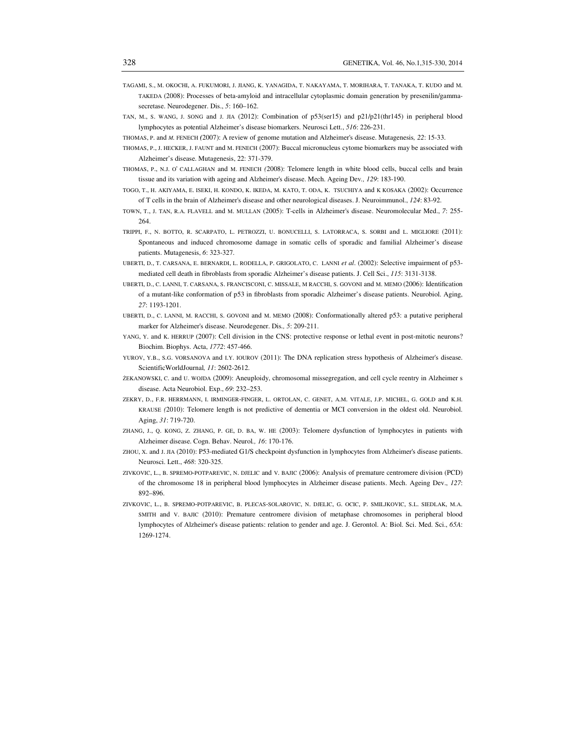- TAGAMI, S., M. OKOCHI, A. FUKUMORI, J. JIANG, K. YANAGIDA, T. NAKAYAMA, T. MORIHARA, T. TANAKA, T. KUDO and M. TAKEDA (2008): Processes of beta-amyloid and intracellular cytoplasmic domain generation by presenilin/gammasecretase. Neurodegener. Dis., *5*: 160–162.
- TAN, M., S. WANG, J. SONG and J. JIA (2012): Combination of p53(ser15) and p21/p21(thr145) in peripheral blood lymphocytes as potential Alzheimer's disease biomarkers. Neurosci Lett., *516*: 226-231.

THOMAS, P. and *M.* FENECH *(*2007): A review of genome mutation and Alzheimer's disease. Mutagenesis*, 22*: 15-33.

- THOMAS, P., J. HECKER, J. FAUNT and M. FENECH (2007): Buccal micronucleus cytome biomarkers may be associated with Alzheimer's disease. Mutagenesis, 22: 371-379.
- THOMAS, P., N.J. O' CALLAGHAN and M. FENECH *(*2008): Telomere length in white blood cells, buccal cells and brain tissue and its variation with ageing and Alzheimer's disease. Mech. Ageing Dev*., 129*: 183-190.
- TOGO, T., H. AKIYAMA, E. ISEKI, H. KONDO, K. IKEDA, M. KATO, T. ODA, K. TSUCHIYA and K KOSAKA (2002): Occurrence of T cells in the brain of Alzheimer's disease and other neurological diseases. J. Neuroimmunol., *124*: 83-92.
- TOWN, T., J. TAN, R.A. FLAVELL and M. MULLAN (2005): T-cells in Alzheimer's disease. Neuromolecular Med., *7*: 255- 264.
- TRIPPI, F., N. BOTTO, R. SCARPATO, L. PETROZZI, U. BONUCELLI, S. LATORRACA, S. SORBI and L. MIGLIORE (2011): Spontaneous and induced chromosome damage in somatic cells of sporadic and familial Alzheimer's disease patients. Mutagenesis, *6*: 323-327.
- UBERTI, D., T. CARSANA, E. BERNARDI, L. RODELLA, P. GRIGOLATO, C. LANNI *et al*. (2002): Selective impairment of p53 mediated cell death in fibroblasts from sporadic Alzheimer's disease patients. J. Cell Sci., *115*: 3131-3138.
- UBERTI, D., C. LANNI, T. CARSANA, S. FRANCISCONI, C. MISSALE, M RACCHI, S. GOVONI and M. MEMO (2006): Identification of a mutant-like conformation of p53 in fibroblasts from sporadic Alzheimer's disease patients. Neurobiol. Aging, *27*: 1193-1201.
- UBERTI, D., C. LANNI, M. RACCHI, S. GOVONI and M. MEMO (2008): Conformationally altered p53: a putative peripheral marker for Alzheimer's disease. Neurodegener. Dis*., 5*: 209-211.
- YANG, Y. and K. HERRUP (2007): Cell division in the CNS: protective response or lethal event in post-mitotic neurons? Biochim. Biophys. Acta, *1772*: 457-466.
- YUROV, Y.B., S.G. VORSANOVA and I.Y. IOUROV (2011): The DNA replication stress hypothesis of Alzheimer's disease. ScientificWorldJournal*, 11*: 2602-2612.
- ŻEKANOWSKI, C. and U. WOJDA (2009): Aneuploidy, chromosomal missegregation, and cell cycle reentry in Alzheimer s disease. Acta Neurobiol. Exp., *69*: 232–253.
- ZEKRY, D., F.R. HERRMANN, I. IRMINGER-FINGER, L. ORTOLAN, C. GENET, A.M. VITALE, J.P. MICHEL, G. GOLD and K.H. KRAUSE *(*2010): Telomere length is not predictive of dementia or MCI conversion in the oldest old. Neurobiol. Aging, *31*: 719-720.
- ZHANG, J., Q. KONG, Z. ZHANG, P. GE, D. BA, W. HE (2003): Telomere dysfunction of lymphocytes in patients with Alzheimer disease. Cogn. Behav. Neurol*., 16*: 170-176.
- ZHOU, X. and J. JIA (2010): P53-mediated G1/S checkpoint dysfunction in lymphocytes from Alzheimer's disease patients. Neurosci. Lett., *468*: 320-325.
- ZIVKOVIC, L., B. SPREMO-POTPAREVIC, N. DJELIC and V. BAJIC (2006): Analysis of premature centromere division (PCD) of the chromosome 18 in peripheral blood lymphocytes in Alzheimer disease patients. Mech. Ageing Dev., *127*: 892–896.
- ZIVKOVIC, L., B. SPREMO-POTPAREVIC, B. PLECAS-SOLAROVIC, N. DJELIC, G. OCIC, P. SMILJKOVIC, S.L. SIEDLAK, M.A. SMITH and V. BAJIC (2010): Premature centromere division of metaphase chromosomes in peripheral blood lymphocytes of Alzheimer's disease patients: relation to gender and age. J. Gerontol. A: Biol. Sci. Med. Sci., *65A*: 1269-1274.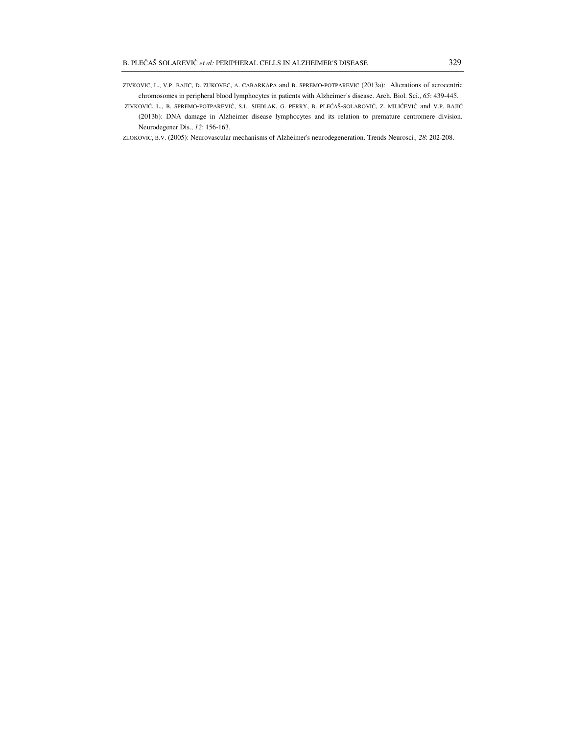- ZIVKOVIC, L., V.P. BAJIC, D. ZUKOVEC, A. CABARKAPA and B. SPREMO-POTPAREVIC (2013a): Alterations of acrocentric chromosomes in peripheral blood lymphocytes in patients with Alzheimer`s disease. Arch. Biol. Sci., *65*: 439-445.
- ZIVKOVIĆ, L., B. SPREMO-POTPAREVIĆ, S.L. SIEDLAK, G. PERRY, B. PLEĆAŠ-SOLAROVIĆ, Z. MILIĆEVIĆ and V.P. BAJIĆ (2013b): DNA damage in Alzheimer disease lymphocytes and its relation to premature centromere division. Neurodegener Dis., *12*: 156-163.
- ZLOKOVIC, B.V. (2005): Neurovascular mechanisms of Alzheimer's neurodegeneration. Trends Neurosci*., 28*: 202-208.